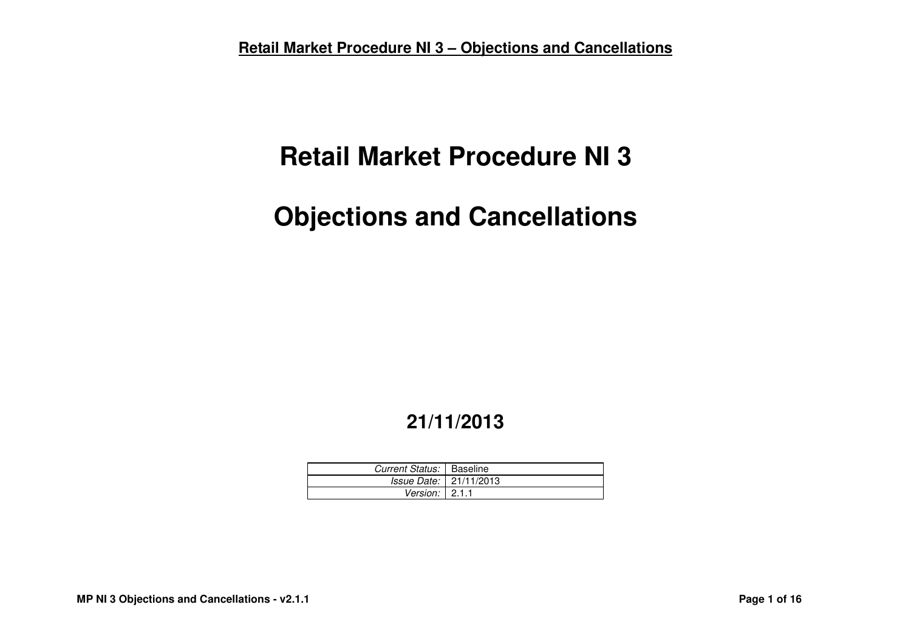# **Retail Market Procedure NI 3**

# **Objections and Cancellations**

# **21/11/2013**

| Current Status:   Baseline |                                 |
|----------------------------|---------------------------------|
|                            | <i>Issue Date:</i>   21/11/2013 |
| Version: $\vert$ 2.1.1     |                                 |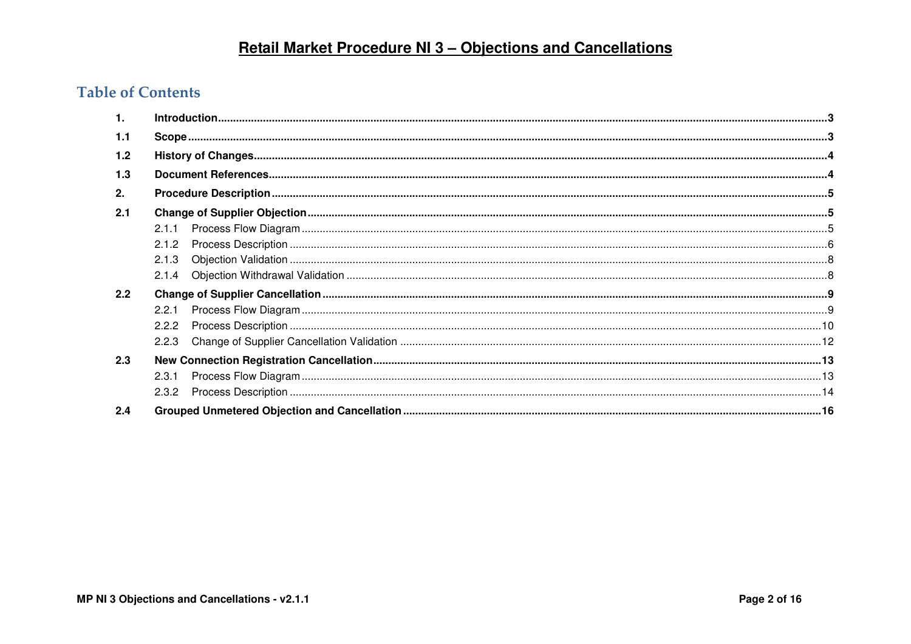# **Table of Contents**

| 1.            |       |  |
|---------------|-------|--|
| 1.1           |       |  |
| 1.2           |       |  |
| 1.3           |       |  |
| 2.            |       |  |
| 2.1           |       |  |
|               | 2.1.1 |  |
|               | 2.1.2 |  |
|               | 2.1.3 |  |
|               | 2.1.4 |  |
| $2.2^{\circ}$ |       |  |
|               |       |  |
|               |       |  |
|               | 2.2.3 |  |
| 2.3           |       |  |
|               | 2.3.1 |  |
|               |       |  |
| 2.4           |       |  |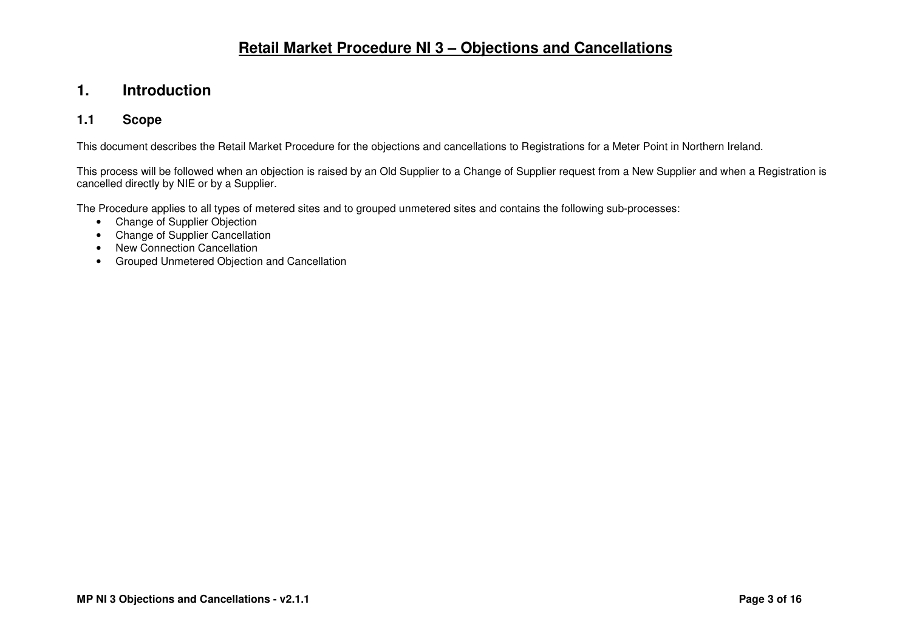### **1. Introduction**

#### **1.1 Scope**

This document describes the Retail Market Procedure for the objections and cancellations to Registrations for a Meter Point in Northern Ireland.

This process will be followed when an objection is raised by an Old Supplier to a Change of Supplier request from a New Supplier and when a Registration is cancelled directly by NIE or by a Supplier.

The Procedure applies to all types of metered sites and to grouped unmetered sites and contains the following sub-processes:

- Change of Supplier Objection
- Change of Supplier Cancellation
- New Connection Cancellation
- Grouped Unmetered Objection and Cancellation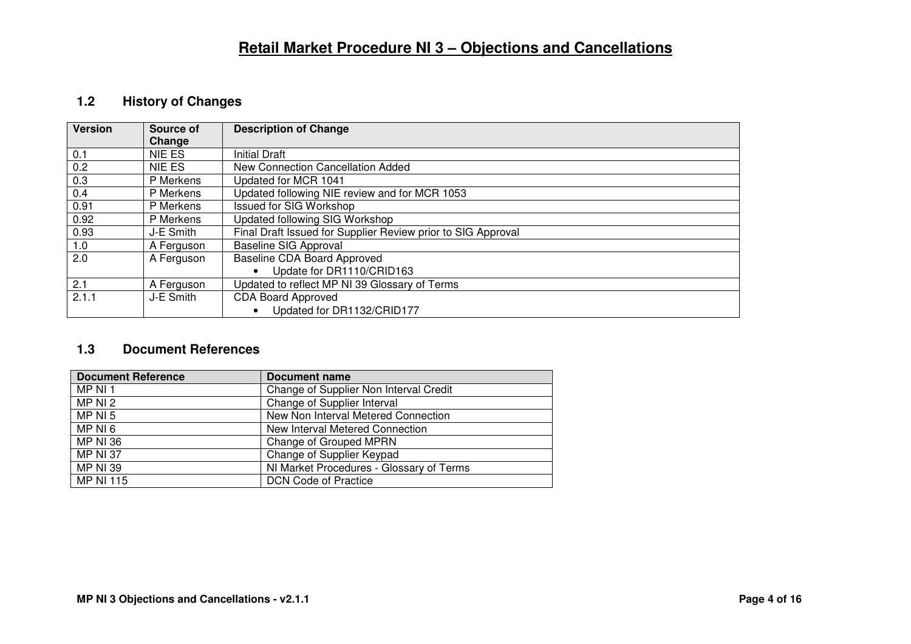### **1.2 History of Changes**

| <b>Version</b> | Source of  | <b>Description of Change</b>                                 |
|----------------|------------|--------------------------------------------------------------|
|                | Change     |                                                              |
| 0.1            | NIE ES     | <b>Initial Draft</b>                                         |
| 0.2            | NIE ES     | New Connection Cancellation Added                            |
| 0.3            | P Merkens  | Updated for MCR 1041                                         |
| 0.4            | P Merkens  | Updated following NIE review and for MCR 1053                |
| 0.91           | P Merkens  | <b>Issued for SIG Workshop</b>                               |
| 0.92           | P Merkens  | Updated following SIG Workshop                               |
| 0.93           | J-E Smith  | Final Draft Issued for Supplier Review prior to SIG Approval |
| 1.0            | A Ferguson | <b>Baseline SIG Approval</b>                                 |
| 2.0            | A Ferguson | Baseline CDA Board Approved                                  |
|                |            | Update for DR1110/CRID163                                    |
| 2.1            | A Ferguson | Updated to reflect MP NI 39 Glossary of Terms                |
| 2.1.1          | J-E Smith  | <b>CDA Board Approved</b>                                    |
|                |            | Updated for DR1132/CRID177                                   |

### **1.3 Document References**

| <b>Document Reference</b> | Document name                            |
|---------------------------|------------------------------------------|
| MP NI 1                   | Change of Supplier Non Interval Credit   |
| MP NI 2                   | Change of Supplier Interval              |
| MP NI 5                   | New Non Interval Metered Connection      |
| MP NI 6                   | New Interval Metered Connection          |
| <b>MP NI 36</b>           | Change of Grouped MPRN                   |
| <b>MP NI 37</b>           | Change of Supplier Keypad                |
| <b>MP NI 39</b>           | NI Market Procedures - Glossary of Terms |
| <b>MP NI 115</b>          | <b>DCN Code of Practice</b>              |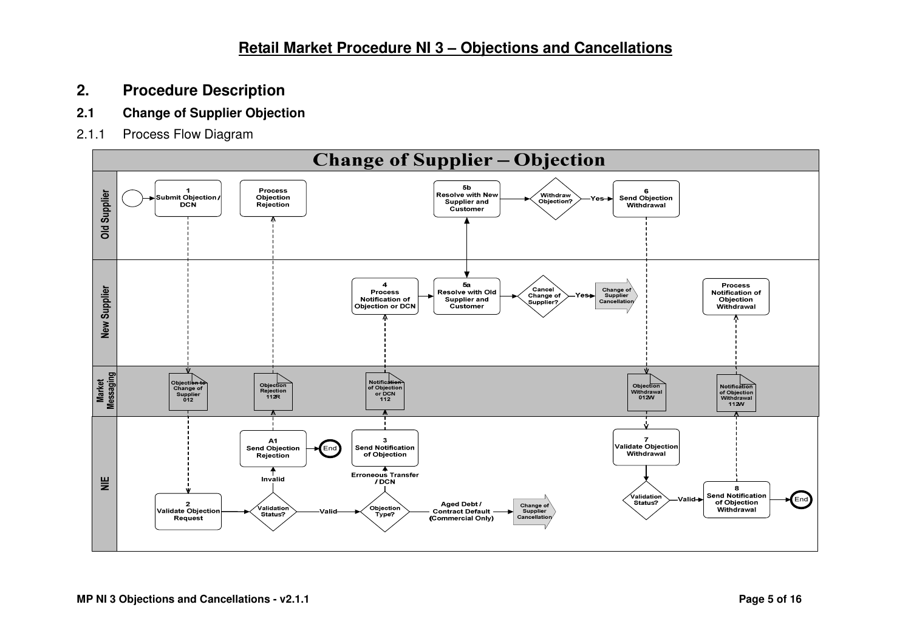- **2. Procedure Description**
- **2.1 Change of Supplier Objection**
- 2.1.1 Process Flow Diagram

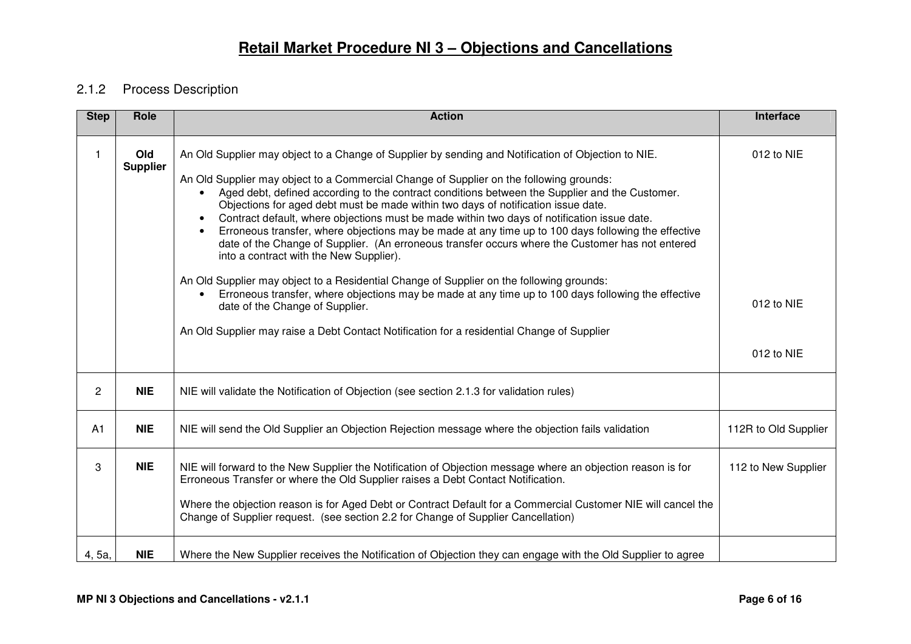### 2.1.2 Process Description

| <b>Step</b> | Role                   | <b>Action</b>                                                                                                                                                                                                                                                                                                                                                                                                                                                                                                                                                                                                                                                                                                                                                                                                                                                                                                                                                                                                                                                                                                         | Interface                              |
|-------------|------------------------|-----------------------------------------------------------------------------------------------------------------------------------------------------------------------------------------------------------------------------------------------------------------------------------------------------------------------------------------------------------------------------------------------------------------------------------------------------------------------------------------------------------------------------------------------------------------------------------------------------------------------------------------------------------------------------------------------------------------------------------------------------------------------------------------------------------------------------------------------------------------------------------------------------------------------------------------------------------------------------------------------------------------------------------------------------------------------------------------------------------------------|----------------------------------------|
| 1           | Old<br><b>Supplier</b> | An Old Supplier may object to a Change of Supplier by sending and Notification of Objection to NIE.<br>An Old Supplier may object to a Commercial Change of Supplier on the following grounds:<br>Aged debt, defined according to the contract conditions between the Supplier and the Customer.<br>$\bullet$<br>Objections for aged debt must be made within two days of notification issue date.<br>Contract default, where objections must be made within two days of notification issue date.<br>$\bullet$<br>Erroneous transfer, where objections may be made at any time up to 100 days following the effective<br>$\bullet$<br>date of the Change of Supplier. (An erroneous transfer occurs where the Customer has not entered<br>into a contract with the New Supplier).<br>An Old Supplier may object to a Residential Change of Supplier on the following grounds:<br>Erroneous transfer, where objections may be made at any time up to 100 days following the effective<br>date of the Change of Supplier.<br>An Old Supplier may raise a Debt Contact Notification for a residential Change of Supplier | 012 to NIE<br>012 to NIE<br>012 to NIE |
| 2           | <b>NIE</b>             | NIE will validate the Notification of Objection (see section 2.1.3 for validation rules)                                                                                                                                                                                                                                                                                                                                                                                                                                                                                                                                                                                                                                                                                                                                                                                                                                                                                                                                                                                                                              |                                        |
| A1          | <b>NIE</b>             | NIE will send the Old Supplier an Objection Rejection message where the objection fails validation                                                                                                                                                                                                                                                                                                                                                                                                                                                                                                                                                                                                                                                                                                                                                                                                                                                                                                                                                                                                                    | 112R to Old Supplier                   |
| 3           | <b>NIE</b>             | NIE will forward to the New Supplier the Notification of Objection message where an objection reason is for<br>Erroneous Transfer or where the Old Supplier raises a Debt Contact Notification.<br>Where the objection reason is for Aged Debt or Contract Default for a Commercial Customer NIE will cancel the<br>Change of Supplier request. (see section 2.2 for Change of Supplier Cancellation)                                                                                                                                                                                                                                                                                                                                                                                                                                                                                                                                                                                                                                                                                                                 | 112 to New Supplier                    |
| 4, 5a,      | <b>NIE</b>             | Where the New Supplier receives the Notification of Objection they can engage with the Old Supplier to agree                                                                                                                                                                                                                                                                                                                                                                                                                                                                                                                                                                                                                                                                                                                                                                                                                                                                                                                                                                                                          |                                        |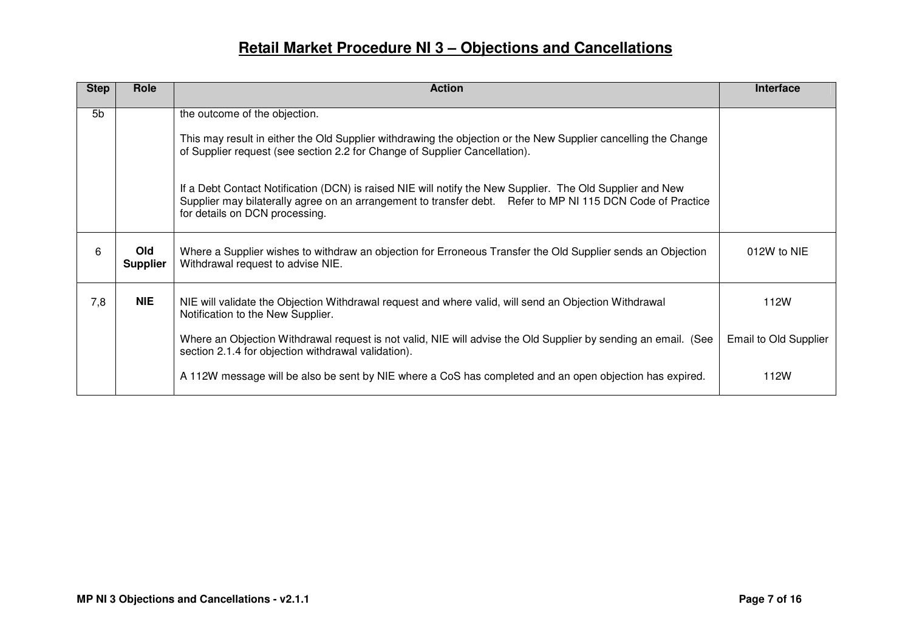| <b>Step</b> | Role                          | <b>Action</b>                                                                                                                                                                                                                                                                                                                                                                                                                                                                              | Interface             |
|-------------|-------------------------------|--------------------------------------------------------------------------------------------------------------------------------------------------------------------------------------------------------------------------------------------------------------------------------------------------------------------------------------------------------------------------------------------------------------------------------------------------------------------------------------------|-----------------------|
| 5b          |                               | the outcome of the objection.<br>This may result in either the Old Supplier withdrawing the objection or the New Supplier cancelling the Change<br>of Supplier request (see section 2.2 for Change of Supplier Cancellation).<br>If a Debt Contact Notification (DCN) is raised NIE will notify the New Supplier. The Old Supplier and New<br>Supplier may bilaterally agree on an arrangement to transfer debt. Refer to MP NI 115 DCN Code of Practice<br>for details on DCN processing. |                       |
| 6           | <b>Old</b><br><b>Supplier</b> | Where a Supplier wishes to withdraw an objection for Erroneous Transfer the Old Supplier sends an Objection<br>Withdrawal request to advise NIE.                                                                                                                                                                                                                                                                                                                                           | 012W to NIE           |
| 7,8         | <b>NIE</b>                    | NIE will validate the Objection Withdrawal request and where valid, will send an Objection Withdrawal<br>Notification to the New Supplier.                                                                                                                                                                                                                                                                                                                                                 | 112W                  |
|             |                               | Where an Objection Withdrawal request is not valid, NIE will advise the Old Supplier by sending an email. (See<br>section 2.1.4 for objection withdrawal validation).                                                                                                                                                                                                                                                                                                                      | Email to Old Supplier |
|             |                               | A 112W message will be also be sent by NIE where a CoS has completed and an open objection has expired.                                                                                                                                                                                                                                                                                                                                                                                    | 112W                  |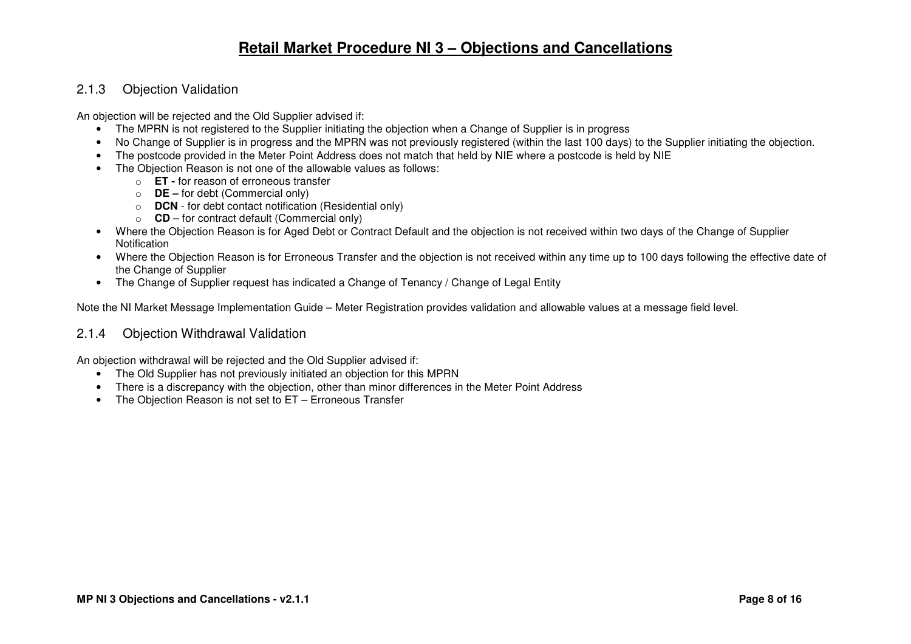#### 2.1.3 Objection Validation

An objection will be rejected and the Old Supplier advised if:

- The MPRN is not registered to the Supplier initiating the objection when a Change of Supplier is in progress
- No Change of Supplier is in progress and the MPRN was not previously registered (within the last 100 days) to the Supplier initiating the objection.
- The postcode provided in the Meter Point Address does not match that held by NIE where a postcode is held by NIE
- The Objection Reason is not one of the allowable values as follows:
	- o **ET** for reason of erroneous transfer
	- o **DE** for debt (Commercial only)
	- o **DCN**  for debt contact notification (Residential only)
	- o **CD** for contract default (Commercial only)
- Where the Objection Reason is for Aged Debt or Contract Default and the objection is not received within two days of the Change of Supplier Notification
- Where the Objection Reason is for Erroneous Transfer and the objection is not received within any time up to 100 days following the effective date of the Change of Supplier
- The Change of Supplier request has indicated a Change of Tenancy / Change of Legal Entity

Note the NI Market Message Implementation Guide – Meter Registration provides validation and allowable values at a message field level.

#### 2.1.4 Objection Withdrawal Validation

An objection withdrawal will be rejected and the Old Supplier advised if:

- The Old Supplier has not previously initiated an objection for this MPRN
- There is a discrepancy with the objection, other than minor differences in the Meter Point Address
- The Objection Reason is not set to ET Erroneous Transfer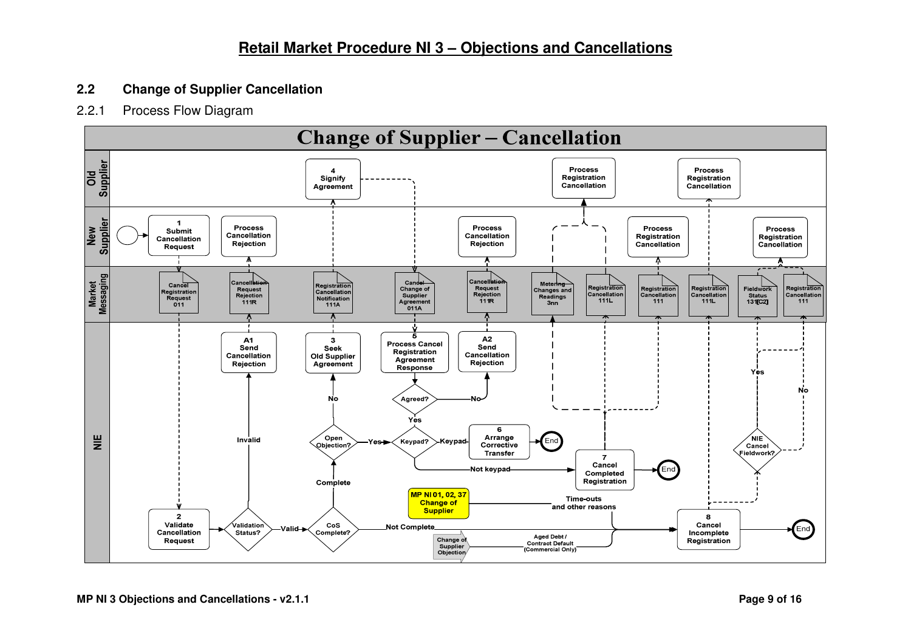### **2.2 Change of Supplier Cancellation**

#### 2.2.1 Process Flow Diagram

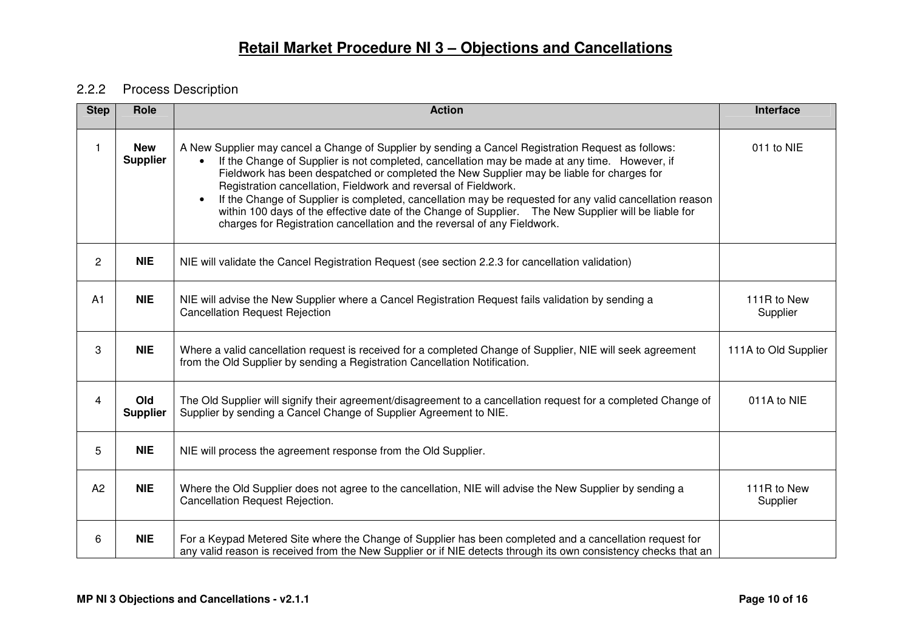### 2.2.2 Process Description

| <b>Step</b>    | Role                          | <b>Action</b>                                                                                                                                                                                                                                                                                                                                                                                                                                                                                                                                                                                                                                                                     | Interface               |
|----------------|-------------------------------|-----------------------------------------------------------------------------------------------------------------------------------------------------------------------------------------------------------------------------------------------------------------------------------------------------------------------------------------------------------------------------------------------------------------------------------------------------------------------------------------------------------------------------------------------------------------------------------------------------------------------------------------------------------------------------------|-------------------------|
| $\mathbf{1}$   | <b>New</b><br><b>Supplier</b> | A New Supplier may cancel a Change of Supplier by sending a Cancel Registration Request as follows:<br>If the Change of Supplier is not completed, cancellation may be made at any time. However, if<br>Fieldwork has been despatched or completed the New Supplier may be liable for charges for<br>Registration cancellation, Fieldwork and reversal of Fieldwork.<br>If the Change of Supplier is completed, cancellation may be requested for any valid cancellation reason<br>$\bullet$<br>within 100 days of the effective date of the Change of Supplier.  The New Supplier will be liable for<br>charges for Registration cancellation and the reversal of any Fieldwork. | 011 to NIE              |
| $\mathbf{2}$   | <b>NIE</b>                    | NIE will validate the Cancel Registration Request (see section 2.2.3 for cancellation validation)                                                                                                                                                                                                                                                                                                                                                                                                                                                                                                                                                                                 |                         |
| A1             | <b>NIE</b>                    | NIE will advise the New Supplier where a Cancel Registration Request fails validation by sending a<br><b>Cancellation Request Rejection</b>                                                                                                                                                                                                                                                                                                                                                                                                                                                                                                                                       | 111R to New<br>Supplier |
| 3              | <b>NIE</b>                    | Where a valid cancellation request is received for a completed Change of Supplier, NIE will seek agreement<br>from the Old Supplier by sending a Registration Cancellation Notification.                                                                                                                                                                                                                                                                                                                                                                                                                                                                                          | 111A to Old Supplier    |
| $\overline{4}$ | Old<br><b>Supplier</b>        | The Old Supplier will signify their agreement/disagreement to a cancellation request for a completed Change of<br>Supplier by sending a Cancel Change of Supplier Agreement to NIE.                                                                                                                                                                                                                                                                                                                                                                                                                                                                                               | 011A to NIE             |
| 5              | <b>NIE</b>                    | NIE will process the agreement response from the Old Supplier.                                                                                                                                                                                                                                                                                                                                                                                                                                                                                                                                                                                                                    |                         |
| A <sub>2</sub> | <b>NIE</b>                    | Where the Old Supplier does not agree to the cancellation, NIE will advise the New Supplier by sending a<br>Cancellation Request Rejection.                                                                                                                                                                                                                                                                                                                                                                                                                                                                                                                                       | 111R to New<br>Supplier |
| 6              | <b>NIE</b>                    | For a Keypad Metered Site where the Change of Supplier has been completed and a cancellation request for<br>any valid reason is received from the New Supplier or if NIE detects through its own consistency checks that an                                                                                                                                                                                                                                                                                                                                                                                                                                                       |                         |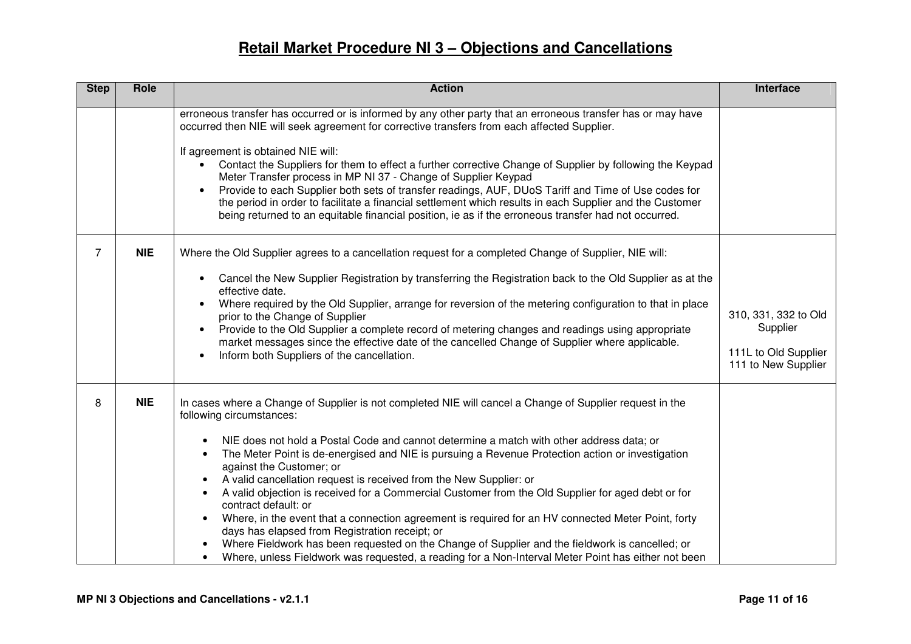| <b>Step</b>    | Role       | <b>Action</b>                                                                                                                                                                                                                                                                                                                                                                                                                                                                                                                                                                                                                                                                                                                                                                                                                                                                                                                                                                                                        | Interface                                                                       |
|----------------|------------|----------------------------------------------------------------------------------------------------------------------------------------------------------------------------------------------------------------------------------------------------------------------------------------------------------------------------------------------------------------------------------------------------------------------------------------------------------------------------------------------------------------------------------------------------------------------------------------------------------------------------------------------------------------------------------------------------------------------------------------------------------------------------------------------------------------------------------------------------------------------------------------------------------------------------------------------------------------------------------------------------------------------|---------------------------------------------------------------------------------|
|                |            | erroneous transfer has occurred or is informed by any other party that an erroneous transfer has or may have<br>occurred then NIE will seek agreement for corrective transfers from each affected Supplier.<br>If agreement is obtained NIE will:<br>Contact the Suppliers for them to effect a further corrective Change of Supplier by following the Keypad<br>Meter Transfer process in MP NI 37 - Change of Supplier Keypad<br>Provide to each Supplier both sets of transfer readings, AUF, DUoS Tariff and Time of Use codes for<br>the period in order to facilitate a financial settlement which results in each Supplier and the Customer<br>being returned to an equitable financial position, ie as if the erroneous transfer had not occurred.                                                                                                                                                                                                                                                           |                                                                                 |
| $\overline{7}$ | <b>NIE</b> | Where the Old Supplier agrees to a cancellation request for a completed Change of Supplier, NIE will:<br>Cancel the New Supplier Registration by transferring the Registration back to the Old Supplier as at the<br>$\bullet$<br>effective date.<br>Where required by the Old Supplier, arrange for reversion of the metering configuration to that in place<br>prior to the Change of Supplier<br>Provide to the Old Supplier a complete record of metering changes and readings using appropriate<br>$\bullet$<br>market messages since the effective date of the cancelled Change of Supplier where applicable.<br>Inform both Suppliers of the cancellation.<br>$\bullet$                                                                                                                                                                                                                                                                                                                                       | 310, 331, 332 to Old<br>Supplier<br>111L to Old Supplier<br>111 to New Supplier |
| 8              | <b>NIE</b> | In cases where a Change of Supplier is not completed NIE will cancel a Change of Supplier request in the<br>following circumstances:<br>NIE does not hold a Postal Code and cannot determine a match with other address data; or<br>$\bullet$<br>The Meter Point is de-energised and NIE is pursuing a Revenue Protection action or investigation<br>$\bullet$<br>against the Customer; or<br>A valid cancellation request is received from the New Supplier: or<br>$\bullet$<br>A valid objection is received for a Commercial Customer from the Old Supplier for aged debt or for<br>$\bullet$<br>contract default: or<br>Where, in the event that a connection agreement is required for an HV connected Meter Point, forty<br>$\bullet$<br>days has elapsed from Registration receipt; or<br>Where Fieldwork has been requested on the Change of Supplier and the fieldwork is cancelled; or<br>Where, unless Fieldwork was requested, a reading for a Non-Interval Meter Point has either not been<br>$\bullet$ |                                                                                 |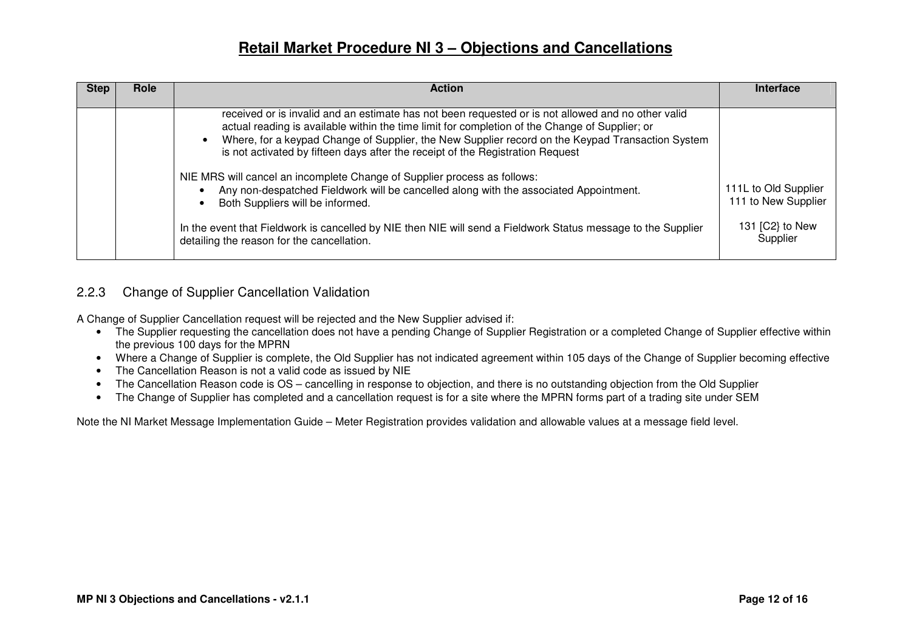| <b>Step</b> | Role | <b>Action</b>                                                                                                                                                                                                                                                                                                                                                                                                                                                                                                                                                                                       | <b>Interface</b>                            |
|-------------|------|-----------------------------------------------------------------------------------------------------------------------------------------------------------------------------------------------------------------------------------------------------------------------------------------------------------------------------------------------------------------------------------------------------------------------------------------------------------------------------------------------------------------------------------------------------------------------------------------------------|---------------------------------------------|
|             |      | received or is invalid and an estimate has not been requested or is not allowed and no other valid<br>actual reading is available within the time limit for completion of the Change of Supplier; or<br>Where, for a keypad Change of Supplier, the New Supplier record on the Keypad Transaction System<br>is not activated by fifteen days after the receipt of the Registration Request<br>NIE MRS will cancel an incomplete Change of Supplier process as follows:<br>Any non-despatched Fieldwork will be cancelled along with the associated Appointment.<br>Both Suppliers will be informed. | 111L to Old Supplier<br>111 to New Supplier |
|             |      | In the event that Fieldwork is cancelled by NIE then NIE will send a Fieldwork Status message to the Supplier<br>detailing the reason for the cancellation.                                                                                                                                                                                                                                                                                                                                                                                                                                         | 131 [C2] to New<br>Supplier                 |

#### 2.2.3 Change of Supplier Cancellation Validation

A Change of Supplier Cancellation request will be rejected and the New Supplier advised if:

- The Supplier requesting the cancellation does not have a pending Change of Supplier Registration or a completed Change of Supplier effective within the previous 100 days for the MPRN
- Where a Change of Supplier is complete, the Old Supplier has not indicated agreement within 105 days of the Change of Supplier becoming effective
- The Cancellation Reason is not a valid code as issued by NIE
- The Cancellation Reason code is OS cancelling in response to objection, and there is no outstanding objection from the Old Supplier
- The Change of Supplier has completed and a cancellation request is for a site where the MPRN forms part of a trading site under SEM

Note the NI Market Message Implementation Guide – Meter Registration provides validation and allowable values at a message field level.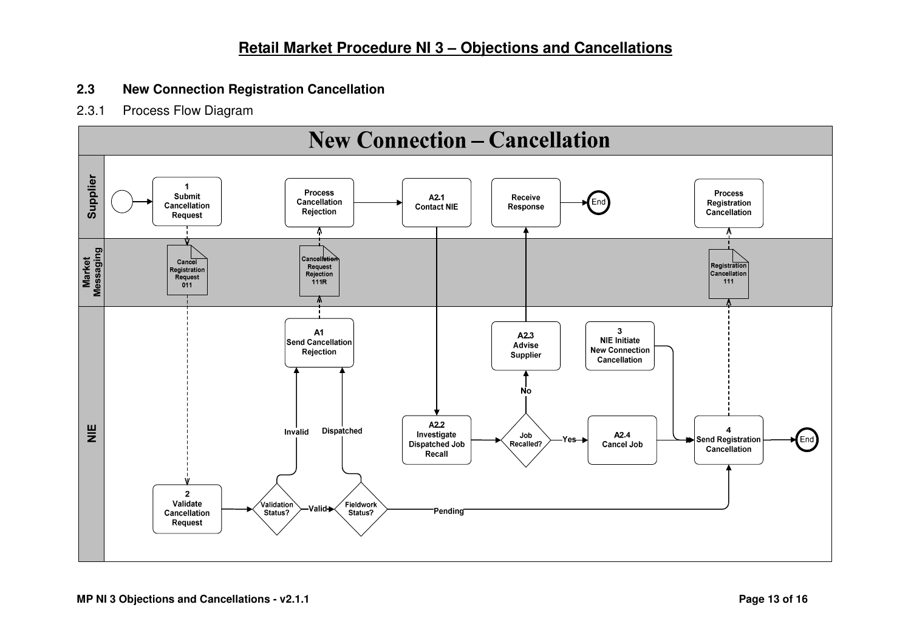### **2.3 New Connection Registration Cancellation**

2.3.1 Process Flow Diagram

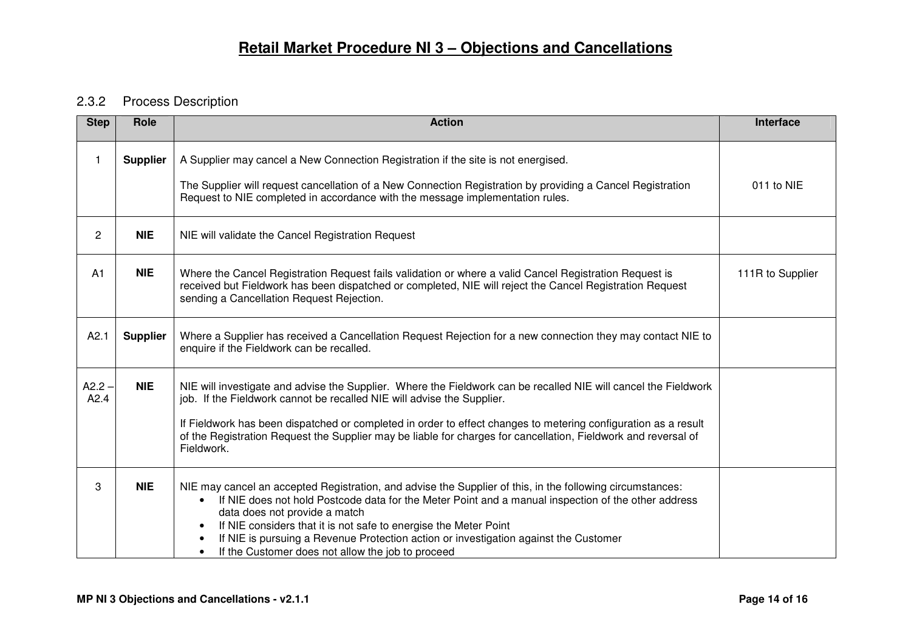### 2.3.2 Process Description

| <b>Step</b>      | Role            | <b>Action</b>                                                                                                                                                                                                                                                                                                                                                                                                                                                                                | Interface        |
|------------------|-----------------|----------------------------------------------------------------------------------------------------------------------------------------------------------------------------------------------------------------------------------------------------------------------------------------------------------------------------------------------------------------------------------------------------------------------------------------------------------------------------------------------|------------------|
| 1                | <b>Supplier</b> | A Supplier may cancel a New Connection Registration if the site is not energised.<br>The Supplier will request cancellation of a New Connection Registration by providing a Cancel Registration<br>Request to NIE completed in accordance with the message implementation rules.                                                                                                                                                                                                             | 011 to NIE       |
| $\overline{2}$   | <b>NIE</b>      | NIE will validate the Cancel Registration Request                                                                                                                                                                                                                                                                                                                                                                                                                                            |                  |
| A <sub>1</sub>   | <b>NIE</b>      | Where the Cancel Registration Request fails validation or where a valid Cancel Registration Request is<br>received but Fieldwork has been dispatched or completed, NIE will reject the Cancel Registration Request<br>sending a Cancellation Request Rejection.                                                                                                                                                                                                                              | 111R to Supplier |
| A2.1             | <b>Supplier</b> | Where a Supplier has received a Cancellation Request Rejection for a new connection they may contact NIE to<br>enquire if the Fieldwork can be recalled.                                                                                                                                                                                                                                                                                                                                     |                  |
| $A2.2 -$<br>A2.4 | <b>NIE</b>      | NIE will investigate and advise the Supplier. Where the Fieldwork can be recalled NIE will cancel the Fieldwork<br>job. If the Fieldwork cannot be recalled NIE will advise the Supplier.<br>If Fieldwork has been dispatched or completed in order to effect changes to metering configuration as a result<br>of the Registration Request the Supplier may be liable for charges for cancellation, Fieldwork and reversal of<br>Fieldwork.                                                  |                  |
| 3                | <b>NIE</b>      | NIE may cancel an accepted Registration, and advise the Supplier of this, in the following circumstances:<br>If NIE does not hold Postcode data for the Meter Point and a manual inspection of the other address<br>data does not provide a match<br>If NIE considers that it is not safe to energise the Meter Point<br>$\bullet$<br>If NIE is pursuing a Revenue Protection action or investigation against the Customer<br>If the Customer does not allow the job to proceed<br>$\bullet$ |                  |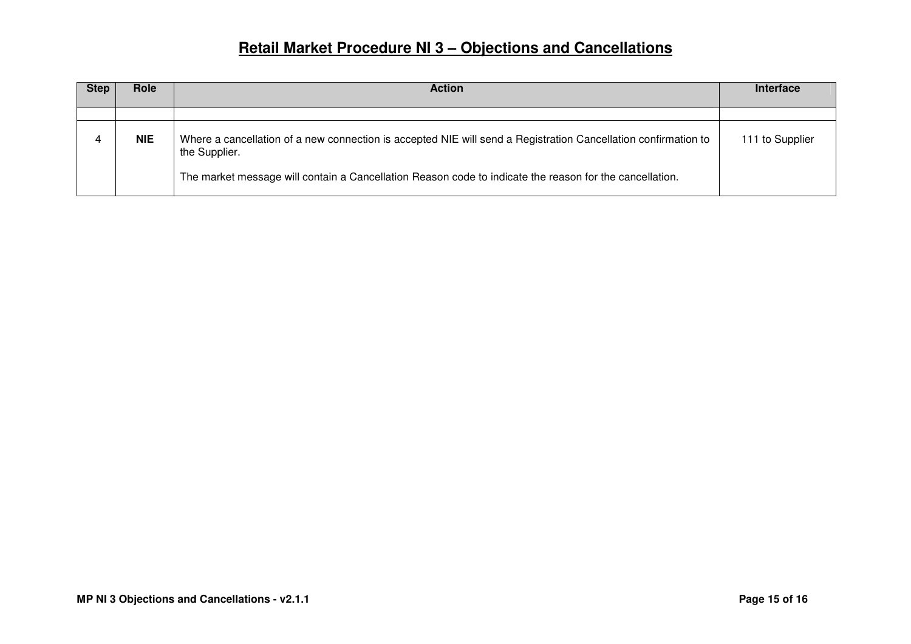| <b>Step</b> | Role       | <b>Action</b>                                                                                                                   | <b>Interface</b> |
|-------------|------------|---------------------------------------------------------------------------------------------------------------------------------|------------------|
|             |            |                                                                                                                                 |                  |
|             | <b>NIE</b> | Where a cancellation of a new connection is accepted NIE will send a Registration Cancellation confirmation to<br>the Supplier. | 111 to Supplier  |
|             |            | The market message will contain a Cancellation Reason code to indicate the reason for the cancellation.                         |                  |